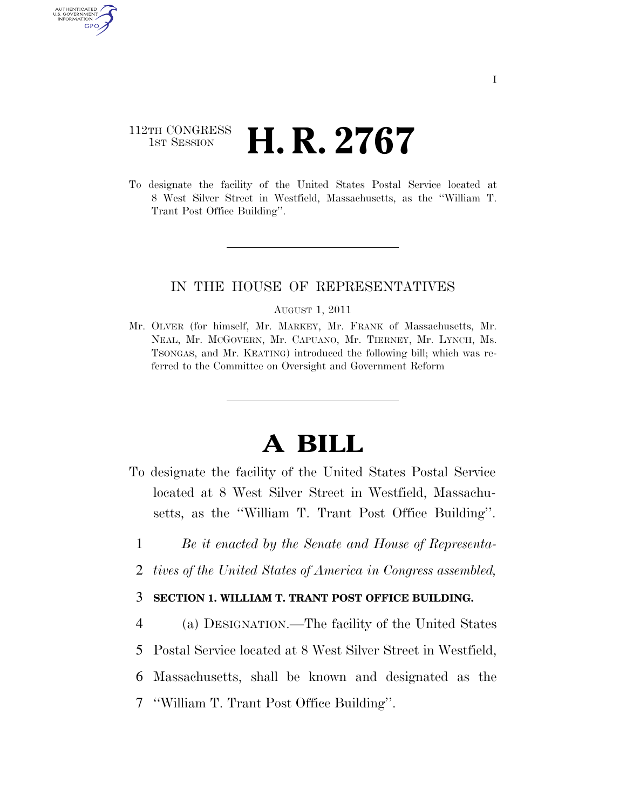# 112TH CONGRESS **1st Session H. R. 2767**

AUTHENTICATED U.S. GOVERNMENT GPO

> To designate the facility of the United States Postal Service located at 8 West Silver Street in Westfield, Massachusetts, as the ''William T. Trant Post Office Building''.

## IN THE HOUSE OF REPRESENTATIVES

#### AUGUST 1, 2011

Mr. OLVER (for himself, Mr. MARKEY, Mr. FRANK of Massachusetts, Mr. NEAL, Mr. MCGOVERN, Mr. CAPUANO, Mr. TIERNEY, Mr. LYNCH, Ms. TSONGAS, and Mr. KEATING) introduced the following bill; which was referred to the Committee on Oversight and Government Reform

# **A BILL**

- To designate the facility of the United States Postal Service located at 8 West Silver Street in Westfield, Massachusetts, as the ''William T. Trant Post Office Building''.
	- 1 *Be it enacted by the Senate and House of Representa-*
	- 2 *tives of the United States of America in Congress assembled,*

### 3 **SECTION 1. WILLIAM T. TRANT POST OFFICE BUILDING.**

- 4 (a) DESIGNATION.—The facility of the United States
- 5 Postal Service located at 8 West Silver Street in Westfield,
- 6 Massachusetts, shall be known and designated as the
- 7 ''William T. Trant Post Office Building''.